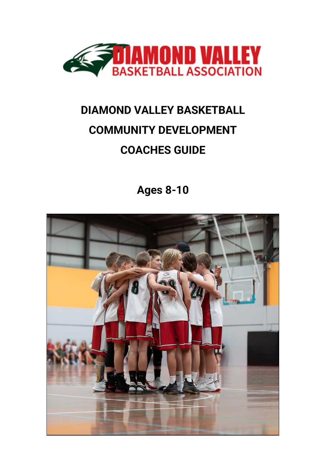

# **DIAMOND VALLEY BASKETBALL COMMUNITY DEVELOPMENT COACHES GUIDE**

**Ages 8-10**

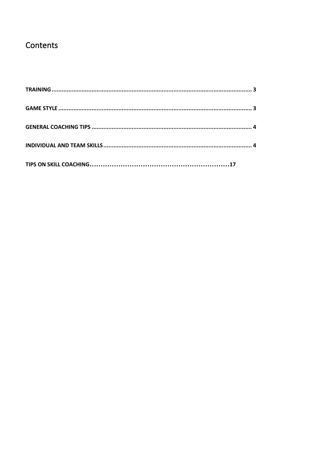# Contents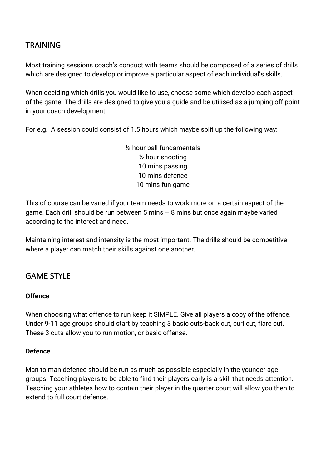# TRAINING

Most training sessions coach's conduct with teams should be composed of a series of drills which are designed to develop or improve a particular aspect of each individual's skills.

When deciding which drills you would like to use, choose some which develop each aspect of the game. The drills are designed to give you a guide and be utilised as a jumping off point in your coach development.

For e.g. A session could consist of 1.5 hours which maybe split up the following way:

½ hour ball fundamentals ½ hour shooting 10 mins passing 10 mins defence 10 mins fun game

This of course can be varied if your team needs to work more on a certain aspect of the game. Each drill should be run between 5 mins – 8 mins but once again maybe varied according to the interest and need.

Maintaining interest and intensity is the most important. The drills should be competitive where a player can match their skills against one another.

# <span id="page-2-0"></span>GAME STYLE

# **Offence**

When choosing what offence to run keep it SIMPLE. Give all players a copy of the offence. Under 9-11 age groups should start by teaching 3 basic cuts-back cut, curl cut, flare cut. These 3 cuts allow you to run motion, or basic offense.

# **Defence**

Man to man defence should be run as much as possible especially in the younger age groups. Teaching players to be able to find their players early is a skill that needs attention. Teaching your athletes how to contain their player in the quarter court will allow you then to extend to full court defence.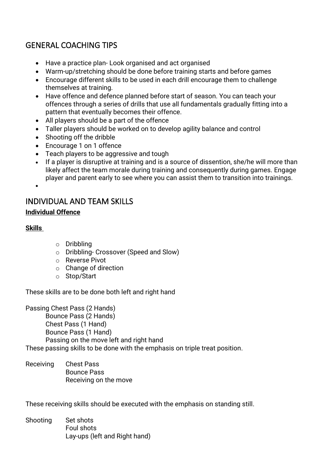# <span id="page-3-0"></span>GENERAL COACHING TIPS

- Have a practice plan- Look organised and act organised
- Warm-up/stretching should be done before training starts and before games
- Encourage different skills to be used in each drill encourage them to challenge themselves at training.
- Have offence and defence planned before start of season. You can teach your offences through a series of drills that use all fundamentals gradually fitting into a pattern that eventually becomes their offence.
- All players should be a part of the offence
- Taller players should be worked on to develop agility balance and control
- Shooting off the dribble
- Encourage 1 on 1 offence
- Teach players to be aggressive and tough
- If a player is disruptive at training and is a source of dissention, she/he will more than likely affect the team morale during training and consequently during games. Engage player and parent early to see where you can assist them to transition into trainings.
- •

# <span id="page-3-1"></span>INDIVIDUAL AND TEAM SKILLS **Individual Offence**

# **Skills**

- o Dribbling
- o Dribbling- Crossover (Speed and Slow)
- o Reverse Pivot
- o Change of direction
- o Stop/Start

These skills are to be done both left and right hand

Passing Chest Pass (2 Hands) Bounce Pass (2 Hands) Chest Pass (1 Hand) Bounce Pass (1 Hand) Passing on the move left and right hand These passing skills to be done with the emphasis on triple treat position.

Receiving Chest Pass Bounce Pass Receiving on the move

These receiving skills should be executed with the emphasis on standing still.

Shooting Set shots Foul shots Lay-ups (left and Right hand)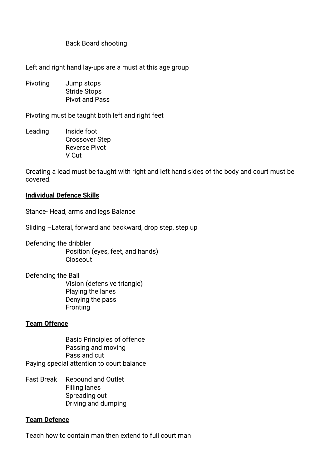#### Back Board shooting

Left and right hand lay-ups are a must at this age group

Pivoting Jump stops Stride Stops Pivot and Pass

Pivoting must be taught both left and right feet

Leading Inside foot Crossover Step Reverse Pivot V Cut

Creating a lead must be taught with right and left hand sides of the body and court must be covered.

#### **Individual Defence Skills**

Stance- Head, arms and legs Balance

Sliding –Lateral, forward and backward, drop step, step up

- Defending the dribbler Position (eyes, feet, and hands) Closeout
- Defending the Ball

Vision (defensive triangle) Playing the lanes Denying the pass Fronting

#### **Team Offence**

Basic Principles of offence Passing and moving Pass and cut Paying special attention to court balance

Fast Break Rebound and Outlet Filling lanes Spreading out Driving and dumping

#### **Team Defence**

Teach how to contain man then extend to full court man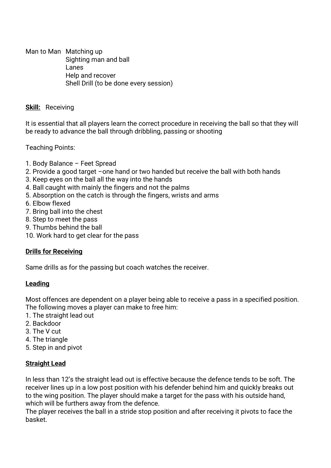Man to Man Matching up Sighting man and ball Lanes Help and recover Shell Drill (to be done every session)

#### **Skill:** Receiving

It is essential that all players learn the correct procedure in receiving the ball so that they will be ready to advance the ball through dribbling, passing or shooting

Teaching Points:

- 1. Body Balance Feet Spread
- 2. Provide a good target –one hand or two handed but receive the ball with both hands
- 3. Keep eyes on the ball all the way into the hands
- 4. Ball caught with mainly the fingers and not the palms
- 5. Absorption on the catch is through the fingers, wrists and arms
- 6. Elbow flexed
- 7. Bring ball into the chest
- 8. Step to meet the pass
- 9. Thumbs behind the ball
- 10. Work hard to get clear for the pass

# **Drills for Receiving**

Same drills as for the passing but coach watches the receiver.

#### **Leading**

Most offences are dependent on a player being able to receive a pass in a specified position. The following moves a player can make to free him:

- 1. The straight lead out
- 2. Backdoor
- 3. The V cut
- 4. The triangle
- 5. Step in and pivot

# **Straight Lead**

In less than 12's the straight lead out is effective because the defence tends to be soft. The receiver lines up in a low post position with his defender behind him and quickly breaks out to the wing position. The player should make a target for the pass with his outside hand, which will be furthers away from the defence.

The player receives the ball in a stride stop position and after receiving it pivots to face the basket.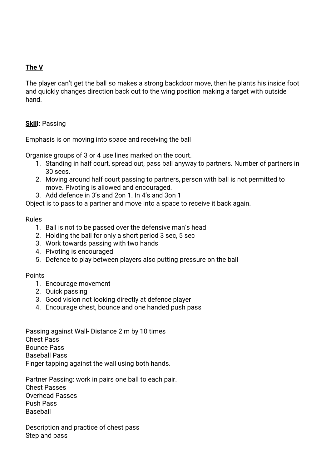# **The V**

The player can't get the ball so makes a strong backdoor move, then he plants his inside foot and quickly changes direction back out to the wing position making a target with outside hand.

# **Skill:** Passing

Emphasis is on moving into space and receiving the ball

Organise groups of 3 or 4 use lines marked on the court.

- 1. Standing in half court, spread out, pass ball anyway to partners. Number of partners in 30 secs.
- 2. Moving around half court passing to partners, person with ball is not permitted to move. Pivoting is allowed and encouraged.
- 3. Add defence in 3's and 2on 1. In 4's and 3on 1

Object is to pass to a partner and move into a space to receive it back again.

Rules

- 1. Ball is not to be passed over the defensive man's head
- 2. Holding the ball for only a short period 3 sec, 5 sec
- 3. Work towards passing with two hands
- 4. Pivoting is encouraged
- 5. Defence to play between players also putting pressure on the ball

**Points** 

- 1. Encourage movement
- 2. Quick passing
- 3. Good vision not looking directly at defence player
- 4. Encourage chest, bounce and one handed push pass

Passing against Wall- Distance 2 m by 10 times Chest Pass Bounce Pass Baseball Pass Finger tapping against the wall using both hands.

Partner Passing: work in pairs one ball to each pair. Chest Passes Overhead Passes Push Pass Baseball

Description and practice of chest pass Step and pass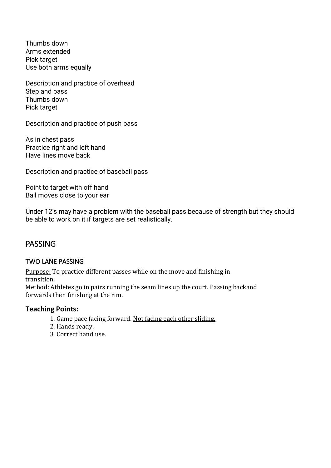Thumbs down Arms extended Pick target Use both arms equally

Description and practice of overhead Step and pass Thumbs down Pick target

Description and practice of push pass

As in chest pass Practice right and left hand Have lines move back

Description and practice of baseball pass

Point to target with off hand Ball moves close to your ear

Under 12's may have a problem with the baseball pass because of strength but they should be able to work on it if targets are set realistically.

# **PASSING**

#### TWO LANE PASSING

Purpose: To practice different passes while on the move and finishing in transition.

Method: Athletes go in pairs running the seam lines up the court. Passing backand forwards then finishing at the rim.

# **Teaching Points:**

- 1. Game pace facing forward. Not facing each other sliding.
- 2. Hands ready.
- 3. Correct hand use.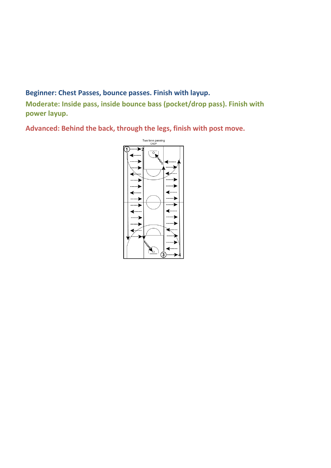# **Beginner: Chest Passes, bounce passes. Finish with layup.**

**Moderate: Inside pass, inside bounce bass (pocket/drop pass). Finish with power layup.**

**Advanced: Behind the back, through the legs, finish with post move.**

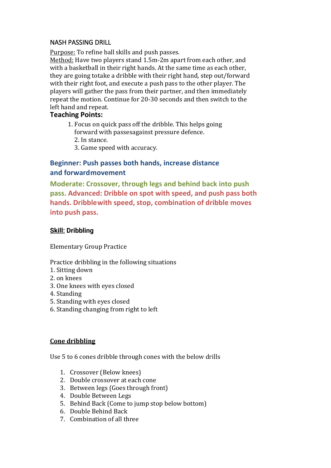# NASH PASSING DRILL

Purpose: To refine ball skills and push passes.

Method: Have two players stand 1.5m-2m apart from each other, and with a basketball in their right hands. At the same time as each other, they are going totake a dribble with their right hand, step out/forward with their right foot, and execute a push pass to the other player. The players will gather the pass from their partner, and then immediately repeat the motion. Continue for 20-30 seconds and then switch to the left hand and repeat.

# **Teaching Points:**

- 1. Focus on quick pass off the dribble. This helps going forward with passesagainst pressure defence.
	- 2. In stance.
	- 3. Game speed with accuracy.

# **Beginner: Push passes both hands, increase distance and forwardmovement**

**Moderate: Crossover, through legs and behind back into push pass. Advanced: Dribble on spot with speed, and push pass both hands. Dribblewith speed, stop, combination of dribble moves into push pass.**

# **Skill: Dribbling**

Elementary Group Practice

Practice dribbling in the following situations

- 1. Sitting down
- 2. on knees
- 3. One knees with eyes closed
- 4. Standing
- 5. Standing with eyes closed
- 6. Standing changing from right to left

# **Cone dribbling**

Use 5 to 6 cones dribble through cones with the below drills

- 1. Crossover (Below knees)
- 2. Double crossover at each cone
- 3. Between legs (Goes through front)
- 4. Double Between Legs
- 5. Behind Back (Come to jump stop below bottom)
- 6. Double Behind Back
- 7. Combination of all three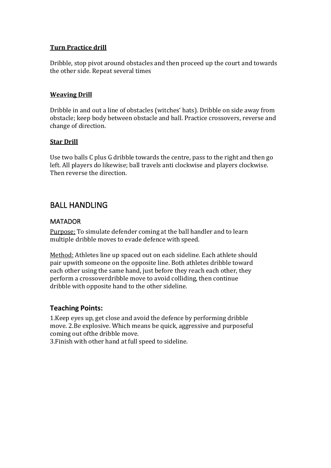#### **Turn Practice drill**

Dribble, stop pivot around obstacles and then proceed up the court and towards the other side. Repeat several times

#### **Weaving Drill**

Dribble in and out a line of obstacles (witches' hats). Dribble on side away from obstacle; keep body between obstacle and ball. Practice crossovers, reverse and change of direction.

#### **Star Drill**

Use two balls C plus G dribble towards the centre, pass to the right and then go left. All players do likewise; ball travels anti clockwise and players clockwise. Then reverse the direction.

# BALL HANDLING

# **MATADOR**

Purpose: To simulate defender coming at the ball handler and to learn multiple dribble moves to evade defence with speed.

Method: Athletes line up spaced out on each sideline. Each athlete should pair upwith someone on the opposite line. Both athletes dribble toward each other using the same hand, just before they reach each other, they perform a crossoverdribble move to avoid colliding, then continue dribble with opposite hand to the other sideline.

# **Teaching Points:**

1.Keep eyes up, get close and avoid the defence by performing dribble move. 2.Be explosive. Which means be quick, aggressive and purposeful coming out ofthe dribble move.

3.Finish with other hand at full speed to sideline.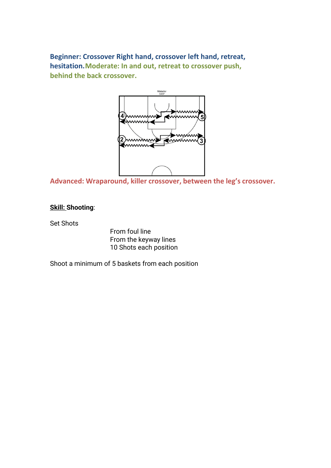**Beginner: Crossover Right hand, crossover left hand, retreat, hesitation.Moderate: In and out, retreat to crossover push, behind the back crossover.**



**Advanced: Wraparound, killer crossover, between the leg's crossover.**

**Skill: Shooting**:

Set Shots

From foul line From the keyway lines 10 Shots each position

Shoot a minimum of 5 baskets from each position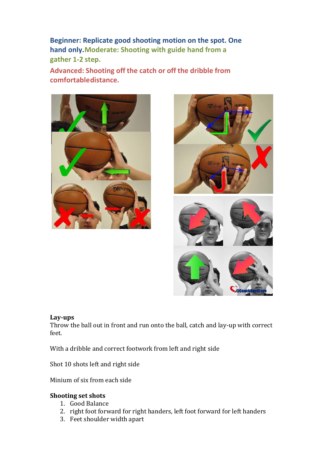**Beginner: Replicate good shooting motion on the spot. One hand only.Moderate: Shooting with guide hand from a gather 1-2 step.**

**Advanced: Shooting off the catch or off the dribble from comfortabledistance.**





#### **Lay-ups**

Throw the ball out in front and run onto the ball, catch and lay-up with correct feet.

With a dribble and correct footwork from left and right side

Shot 10 shots left and right side

Minium of six from each side

#### **Shooting set shots**

- 1. Good Balance
- 2. right foot forward for right handers, left foot forward for left handers
- 3. Feet shoulder width apart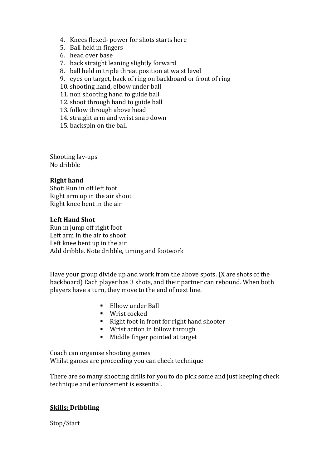- 4. Knees flexed- power for shots starts here
- 5. Ball held in fingers
- 6. head over base
- 7. back straight leaning slightly forward
- 8. ball held in triple threat position at waist level
- 9. eyes on target, back of ring on backboard or front of ring
- 10. shooting hand, elbow under ball
- 11. non shooting hand to guide ball
- 12. shoot through hand to guide ball
- 13. follow through above head
- 14. straight arm and wrist snap down
- 15. backspin on the ball

Shooting lay-ups No dribble

#### **Right hand**

Shot: Run in off left foot Right arm up in the air shoot Right knee bent in the air

#### **Left Hand Shot**

Run in jump off right foot Left arm in the air to shoot Left knee bent up in the air Add dribble. Note dribble, timing and footwork

Have your group divide up and work from the above spots. (X are shots of the backboard) Each player has 3 shots, and their partner can rebound. When both players have a turn, they move to the end of next line.

- Elbow under Ball
- Wrist cocked
- Right foot in front for right hand shooter
- Wrist action in follow through
- Middle finger pointed at target

Coach can organise shooting games Whilst games are proceeding you can check technique

There are so many shooting drills for you to do pick some and just keeping check technique and enforcement is essential.

# **Skills: Dribbling**

Stop/Start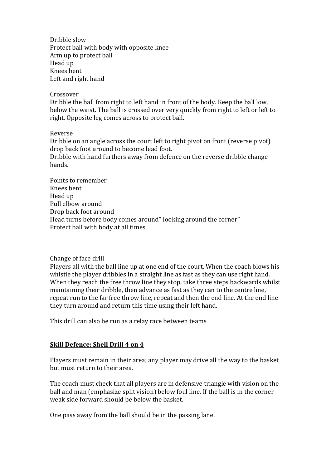Dribble slow Protect ball with body with opposite knee Arm up to protect ball Head up Knees bent Left and right hand

Crossover

Dribble the ball from right to left hand in front of the body. Keep the ball low, below the waist. The ball is crossed over very quickly from right to left or left to right. Opposite leg comes across to protect ball.

Reverse

Dribble on an angle across the court left to right pivot on front (reverse pivot) drop back foot around to become lead foot.

Dribble with hand furthers away from defence on the reverse dribble change hands.

Points to remember Knees bent Head up Pull elbow around Drop back foot around Head turns before body comes around" looking around the corner" Protect ball with body at all times

Change of face drill

Players all with the ball line up at one end of the court. When the coach blows his whistle the player dribbles in a straight line as fast as they can use right hand. When they reach the free throw line they stop, take three steps backwards whilst maintaining their dribble, then advance as fast as they can to the centre line, repeat run to the far free throw line, repeat and then the end line. At the end line they turn around and return this time using their left hand.

This drill can also be run as a relay race between teams

#### **Skill Defence: Shell Drill 4 on 4**

Players must remain in their area; any player may drive all the way to the basket but must return to their area.

The coach must check that all players are in defensive triangle with vision on the ball and man (emphasize split vision) below foul line. If the ball is in the corner weak side forward should be below the basket.

One pass away from the ball should be in the passing lane.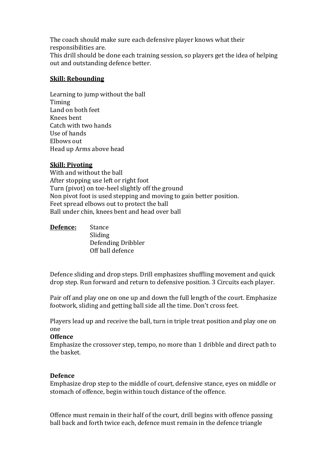The coach should make sure each defensive player knows what their responsibilities are. This drill should be done each training session, so players get the idea of helping out and outstanding defence better.

#### **Skill: Rebounding**

Learning to jump without the ball Timing Land on both feet Knees bent Catch with two hands Use of hands Elbows out Head up Arms above head

#### **Skill: Pivoting**

With and without the ball After stopping use left or right foot Turn (pivot) on toe-heel slightly off the ground Non pivot foot is used stepping and moving to gain better position. Feet spread elbows out to protect the ball Ball under chin, knees bent and head over ball

**Defence:** Stance Sliding Defending Dribbler Off ball defence

Defence sliding and drop steps. Drill emphasizes shuffling movement and quick drop step. Run forward and return to defensive position. 3 Circuits each player.

Pair off and play one on one up and down the full length of the court. Emphasize footwork, sliding and getting ball side all the time. Don't cross feet.

Players lead up and receive the ball, turn in triple treat position and play one on one

#### **Offence**

Emphasize the crossover step, tempo, no more than 1 dribble and direct path to the basket.

#### **Defence**

Emphasize drop step to the middle of court, defensive stance, eyes on middle or stomach of offence, begin within touch distance of the offence.

Offence must remain in their half of the court, drill begins with offence passing ball back and forth twice each, defence must remain in the defence triangle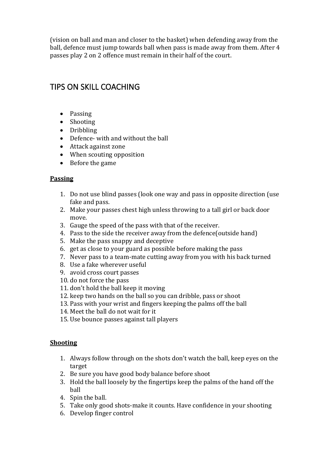(vision on ball and man and closer to the basket) when defending away from the ball, defence must jump towards ball when pass is made away from them. After 4 passes play 2 on 2 offence must remain in their half of the court.

# <span id="page-16-0"></span>TIPS ON SKILL COACHING

- Passing
- Shooting
- Dribbling
- Defence- with and without the ball
- Attack against zone
- When scouting opposition
- Before the game

#### **Passing**

- 1. Do not use blind passes (look one way and pass in opposite direction (use fake and pass.
- 2. Make your passes chest high unless throwing to a tall girl or back door move.
- 3. Gauge the speed of the pass with that of the receiver.
- 4. Pass to the side the receiver away from the defence(outside hand)
- 5. Make the pass snappy and deceptive
- 6. get as close to your guard as possible before making the pass
- 7. Never pass to a team-mate cutting away from you with his back turned
- 8. Use a fake wherever useful
- 9. avoid cross court passes
- 10. do not force the pass
- 11. don't hold the ball keep it moving
- 12. keep two hands on the ball so you can dribble, pass or shoot
- 13. Pass with your wrist and fingers keeping the palms off the ball
- 14. Meet the ball do not wait for it
- 15. Use bounce passes against tall players

#### **Shooting**

- 1. Always follow through on the shots don't watch the ball, keep eyes on the target
- 2. Be sure you have good body balance before shoot
- 3. Hold the ball loosely by the fingertips keep the palms of the hand off the ball
- 4. Spin the ball.
- 5. Take only good shots-make it counts. Have confidence in your shooting
- 6. Develop finger control